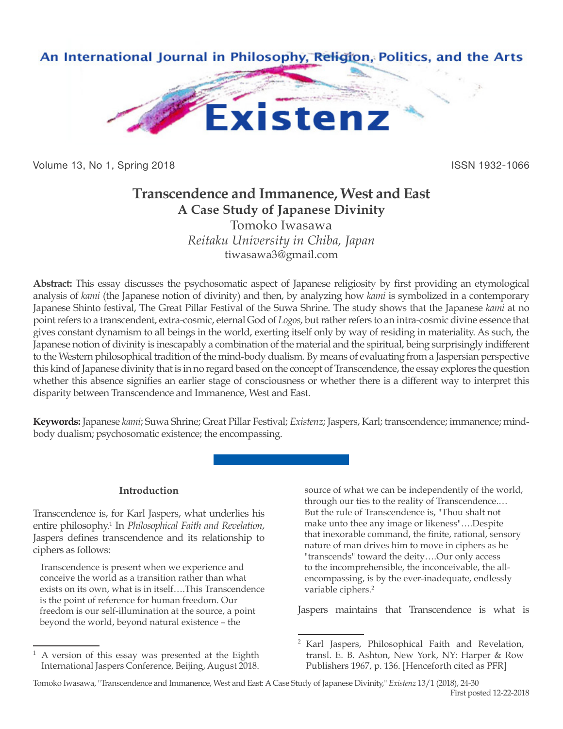

Volume 13, No 1, Spring 2018 **ISSN 1932-1066** ISSN 1932-1066

# **Transcendence and Immanence, West and East A Case Study of Japanese Divinity**

Tomoko Iwasawa *Reitaku University in Chiba, Japan* tiwasawa3@gmail.com

**Abstract:** This essay discusses the psychosomatic aspect of Japanese religiosity by first providing an etymological analysis of *kami* (the Japanese notion of divinity) and then, by analyzing how *kami* is symbolized in a contemporary Japanese Shinto festival, The Great Pillar Festival of the Suwa Shrine. The study shows that the Japanese *kami* at no point refers to a transcendent, extra-cosmic, eternal God of *Logos*, but rather refers to an intra-cosmic divine essence that gives constant dynamism to all beings in the world, exerting itself only by way of residing in materiality. As such, the Japanese notion of divinity is inescapably a combination of the material and the spiritual, being surprisingly indifferent to the Western philosophical tradition of the mind-body dualism. By means of evaluating from a Jaspersian perspective this kind of Japanese divinity that is in no regard based on the concept of Transcendence, the essay explores the question whether this absence signifies an earlier stage of consciousness or whether there is a different way to interpret this disparity between Transcendence and Immanence, West and East.

**Keywords:** Japanese *kami*; Suwa Shrine; Great Pillar Festival; *Existenz*; Jaspers, Karl; transcendence; immanence; mindbody dualism; psychosomatic existence; the encompassing.

# **Introduction**

Transcendence is, for Karl Jaspers, what underlies his entire philosophy.<sup>1</sup> In *Philosophical Faith and Revelation*, Jaspers defines transcendence and its relationship to ciphers as follows:

Transcendence is present when we experience and conceive the world as a transition rather than what exists on its own, what is in itself….This Transcendence is the point of reference for human freedom. Our freedom is our self-illumination at the source, a point beyond the world, beyond natural existence – the

source of what we can be independently of the world, through our ties to the reality of Transcendence.… But the rule of Transcendence is, "Thou shalt not make unto thee any image or likeness"….Despite that inexorable command, the finite, rational, sensory nature of man drives him to move in ciphers as he "transcends" toward the deity….Our only access to the incomprehensible, the inconceivable, the allencompassing, is by the ever-inadequate, endlessly variable ciphers.<sup>2</sup>

Jaspers maintains that Transcendence is what is

<sup>1</sup> A version of this essay was presented at the Eighth International Jaspers Conference, Beijing, August 2018.

<sup>2</sup> Karl Jaspers, Philosophical Faith and Revelation, transl. E. B. Ashton, New York, NY: Harper & Row Publishers 1967, p. 136. [Henceforth cited as PFR]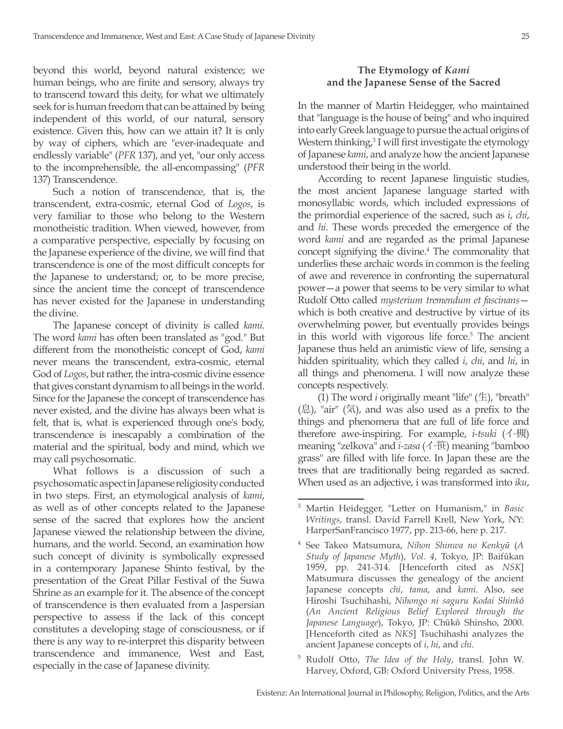beyond this world, beyond natural existence; we human beings, who are finite and sensory, always try to transcend toward this deity, for what we ultimately seek for is human freedom that can be attained by being independent of this world, of our natural, sensory existence. Given this, how can we attain it? It is only by way of ciphers, which are "ever-inadequate and endlessly variable" (*PFR* 137), and yet, "our only access to the incomprehensible, the all-encompassing" (*PFR* 137) Transcendence.

Such a notion of transcendence, that is, the transcendent, extra-cosmic, eternal God of *Logos*, is very familiar to those who belong to the Western monotheistic tradition. When viewed, however, from a comparative perspective, especially by focusing on the Japanese experience of the divine, we will find that transcendence is one of the most difficult concepts for the Japanese to understand; or, to be more precise, since the ancient time the concept of transcendence has never existed for the Japanese in understanding the divine.

The Japanese concept of divinity is called *kami*. The word *kami* has often been translated as "god." But different from the monotheistic concept of God, *kami*  never means the transcendent, extra-cosmic, eternal God of *Logos*, but rather, the intra-cosmic divine essence that gives constant dynamism to all beings in the world. Since for the Japanese the concept of transcendence has never existed, and the divine has always been what is felt, that is, what is experienced through one's body, transcendence is inescapably a combination of the material and the spiritual, body and mind, which we may call psychosomatic.

What follows is a discussion of such a psychosomatic aspect in Japanese religiosity conducted in two steps. First, an etymological analysis of *kami*, as well as of other concepts related to the Japanese sense of the sacred that explores how the ancient Japanese viewed the relationship between the divine, humans, and the world. Second, an examination how such concept of divinity is symbolically expressed in a contemporary Japanese Shinto festival, by the presentation of the Great Pillar Festival of the Suwa Shrine as an example for it. The absence of the concept of transcendence is then evaluated from a Jaspersian perspective to assess if the lack of this concept constitutes a developing stage of consciousness, or if there is any way to re-interpret this disparity between transcendence and immanence, West and East, especially in the case of Japanese divinity.

# **The Etymology of** *Kami* **and the Japanese Sense of the Sacred**

In the manner of Martin Heidegger, who maintained that "language is the house of being" and who inquired into early Greek language to pursue the actual origins of Western thinking,<sup>3</sup> I will first investigate the etymology of Japanese *kami*, and analyze how the ancient Japanese understood their being in the world.

According to recent Japanese linguistic studies, the most ancient Japanese language started with monosyllabic words, which included expressions of the primordial experience of the sacred, such as *i*, *chi*, and *hi*. These words preceded the emergence of the word *kami* and are regarded as the primal Japanese concept signifying the divine.<sup>4</sup> The commonality that underlies these archaic words in common is the feeling of awe and reverence in confronting the supernatural power—a power that seems to be very similar to what Rudolf Otto called *mysterium tremendum et fascinans* which is both creative and destructive by virtue of its overwhelming power, but eventually provides beings in this world with vigorous life force.<sup>5</sup> The ancient Japanese thus held an animistic view of life, sensing a hidden spirituality, which they called *i*, *chi*, and *hi*, in all things and phenomena. I will now analyze these concepts respectively.

(1) The word *i* originally meant "life"  $(\pm)$ , "breath"  $($ 息), "air"  $($ 気), and was also used as a prefix to the things and phenomena that are full of life force and therefore awe-inspiring. For example, *i-tsuki* (イ-槻) meaning "zelkova" and *i-zasa* (イ-笹) meaning "bamboo grass" are filled with life force. In Japan these are the trees that are traditionally being regarded as sacred. When used as an adjective, i was transformed into *iku*,

<sup>3</sup> Martin Heidegger, "Letter on Humanism," in *Basic Writings*, transl. David Farrell Krell, New York, NY: HarperSanFrancisco 1977, pp. 213-66, here p. 217.

<sup>4</sup> See Takeo Matsumura, *Nihon Shinwa no Kenkyū* (*A Study of Japanese Myth*), *Vol. 4*, Tokyo, JP: Baifūkan 1959, pp. 241-314. [Henceforth cited as *NSK*] Matsumura discusses the genealogy of the ancient Japanese concepts *chi*, *tama*, and *kami*. Also, see Hiroshi Tsuchihashi, *Nihongo ni saguru Kodai Shinkō* (*An Ancient Religious Belief Explored through the Japanese Language*), Tokyo, JP: Chūkō Shinsho, 2000. [Henceforth cited as *NKS*] Tsuchihashi analyzes the ancient Japanese concepts of *i*, *hi*, and *chi*.

<sup>5</sup> Rudolf Otto, *The Idea of the Holy*, transl. John W. Harvey, Oxford, GB: Oxford University Press, 1958.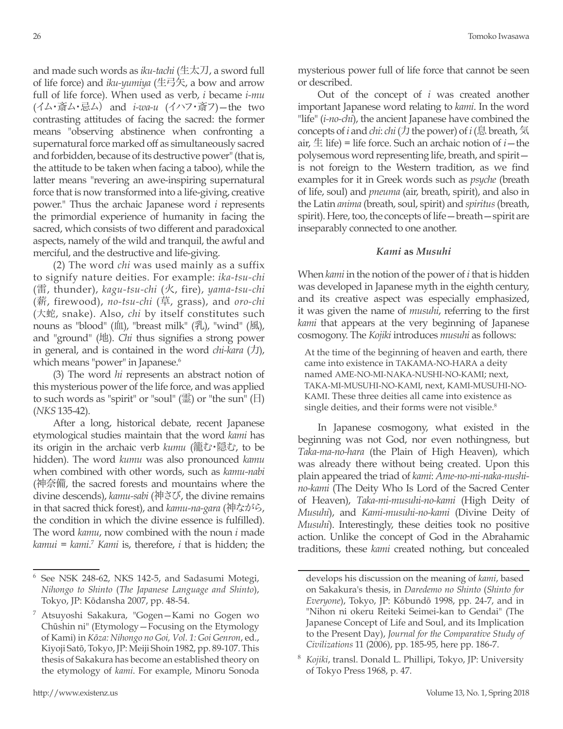and made such words as *iku-tachi* (生太刀, a sword full of life force) and *iku-yumiya* (生弓矢, a bow and arrow full of life force). When used as verb, *i* became *i-mu* (イム・斎ム・忌ム) and *i-wa-u* (イハフ・斎フ)—the two contrasting attitudes of facing the sacred: the former means "observing abstinence when confronting a supernatural force marked off as simultaneously sacred and forbidden, because of its destructive power" (that is, the attitude to be taken when facing a taboo), while the latter means "revering an awe-inspiring supernatural force that is now transformed into a life-giving, creative power." Thus the archaic Japanese word *i* represents the primordial experience of humanity in facing the sacred, which consists of two different and paradoxical aspects, namely of the wild and tranquil, the awful and merciful, and the destructive and life-giving.

(2) The word *chi* was used mainly as a suffix to signify nature deities. For example: *ika-tsu-chi* (雷, thunder), *kagu-tsu-chi* (火, fire), *yama-tsu-chi* (薪, firewood), *no-tsu-chi* (草, grass), and *oro-chi* (大蛇, snake). Also, *chi* by itself constitutes such nouns as "blood" (血), "breast milk"  $(\angle$ 乳, "wind"  $(\angle \text{M})$ , and "ground" (地). *Chi* thus signifies a strong power in general, and is contained in the word *chi-kara* (力), which means "power" in Japanese.<sup>6</sup>

(3) The word *hi* represents an abstract notion of this mysterious power of the life force, and was applied to such words as "spirit" or "soul" (霊) or "the sun" (日) (*NKS* 135-42).

After a long, historical debate, recent Japanese etymological studies maintain that the word *kami* has its origin in the archaic verb *kumu* (籠む・隠む, to be hidden). The word *kumu* was also pronounced *kamu*  when combined with other words, such as *kamu-nabi*  (神奈備, the sacred forests and mountains where the divine descends), *kamu-sabi* (神さび, the divine remains in that sacred thick forest), and *kamu-na-gara* (神ながら, the condition in which the divine essence is fulfilled). The word *kamu*, now combined with the noun *i* made *kamui* = *kami*. <sup>7</sup> *Kami* is, therefore, *i* that is hidden; the mysterious power full of life force that cannot be seen or described.

Out of the concept of *i* was created another important Japanese word relating to *kami*. In the word "life" (*i-no-chi*), the ancient Japanese have combined the concepts of *i* and *chi*: *chi* (力 the power) of *i* (息 breath, 気 air,  $\pm$  life) = life force. Such an archaic notion of  $i$  – the polysemous word representing life, breath, and spirit is not foreign to the Western tradition, as we find examples for it in Greek words such as *psyche* (breath of life, soul) and *pneuma* (air, breath, spirit), and also in the Latin *anima* (breath, soul, spirit) and *spiritus* (breath, spirit). Here, too, the concepts of life—breath—spirit are inseparably connected to one another.

# *Kami* **as** *Musuhi*

When *kami* in the notion of the power of *i* that is hidden was developed in Japanese myth in the eighth century, and its creative aspect was especially emphasized, it was given the name of *musuhi*, referring to the first *kami* that appears at the very beginning of Japanese cosmogony. The *Kojiki* introduces *musuhi* as follows:

At the time of the beginning of heaven and earth, there came into existence in TAKAMA-NO-HARA a deity named AME-NO-MI-NAKA-NUSHI-NO-KAMI; next, TAKA-MI-MUSUHI-NO-KAMI, next, KAMI-MUSUHI-NO-KAMI. These three deities all came into existence as single deities, and their forms were not visible.<sup>8</sup>

In Japanese cosmogony, what existed in the beginning was not God, nor even nothingness, but *Taka-ma-no-hara* (the Plain of High Heaven), which was already there without being created. Upon this plain appeared the triad of *kami*: *Ame-no-mi-naka-nushino-kami* (The Deity Who Is Lord of the Sacred Center of Heaven), *Taka-mi-musuhi-no-kami* (High Deity of *Musuhi*), and *Kami-musuhi-no-kami* (Divine Deity of *Musuhi*). Interestingly, these deities took no positive action. Unlike the concept of God in the Abrahamic traditions, these *kami* created nothing, but concealed

<sup>6</sup> See NSK 248-62, NKS 142-5, and Sadasumi Motegi, *Nihongo to Shinto* (*The Japanese Language and Shinto*), Tokyo, JP: Kōdansha 2007, pp. 48-54.

<sup>7</sup> Atsuyoshi Sakakura, "Gogen—Kami no Gogen wo Chūshin ni" (Etymology—Focusing on the Etymology of Kami) in *Kōza: Nihongo no Goi, Vol. 1: Goi Genron*, ed., Kiyoji Satō, Tokyo, JP: Meiji Shoin 1982, pp. 89-107. This thesis of Sakakura has become an established theory on the etymology of *kami*. For example, Minoru Sonoda

develops his discussion on the meaning of *kami*, based on Sakakura's thesis, in *Daredemo no Shinto* (*Shinto for Everyone*), Tokyo, JP: Kōbundō 1998, pp. 24-7, and in "Nihon ni okeru Reiteki Seimei-kan to Gendai" (The Japanese Concept of Life and Soul, and its Implication to the Present Day), *Journal for the Comparative Study of Civilizations* 11 (2006), pp. 185-95, here pp. 186-7.

<sup>8</sup> *Kojiki*, transl. Donald L. Phillipi, Tokyo, JP: University of Tokyo Press 1968, p. 47.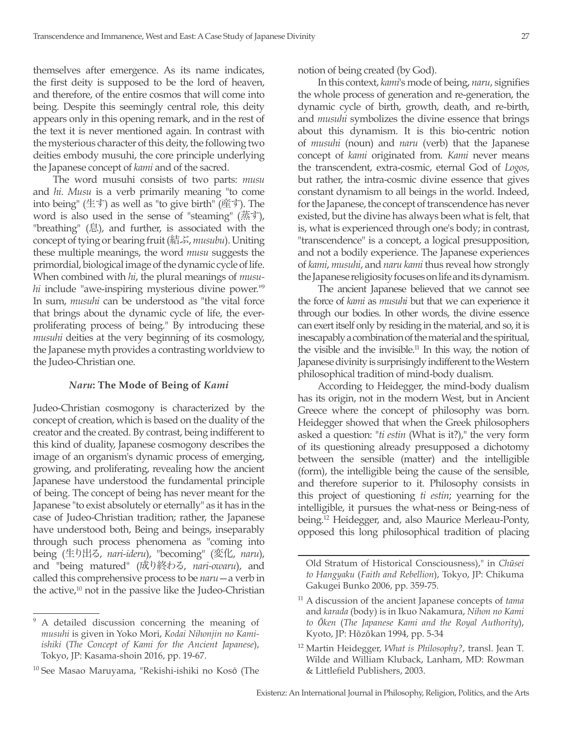themselves after emergence. As its name indicates, the first deity is supposed to be the lord of heaven, and therefore, of the entire cosmos that will come into being. Despite this seemingly central role, this deity appears only in this opening remark, and in the rest of the text it is never mentioned again. In contrast with the mysterious character of this deity, the following two deities embody musuhi, the core principle underlying the Japanese concept of *kami* and of the sacred.

The word musuhi consists of two parts: *musu* and *hi*. *Musu* is a verb primarily meaning "to come into being" (生す) as well as "to give birth" (産す). The word is also used in the sense of "steaming" (蒸す), "breathing" (息), and further, is associated with the concept of tying or bearing fruit (結ぶ, *musubu*). Uniting these multiple meanings, the word *musu* suggests the primordial, biological image of the dynamic cycle of life. When combined with *hi*, the plural meanings of *musuhi* include "awe-inspiring mysterious divine power."<sup>9</sup> In sum, *musuhi* can be understood as "the vital force that brings about the dynamic cycle of life, the everproliferating process of being." By introducing these *musuhi* deities at the very beginning of its cosmology, the Japanese myth provides a contrasting worldview to the Judeo-Christian one.

# *Naru***: The Mode of Being of** *Kami*

Judeo-Christian cosmogony is characterized by the concept of creation, which is based on the duality of the creator and the created. By contrast, being indifferent to this kind of duality, Japanese cosmogony describes the image of an organism's dynamic process of emerging, growing, and proliferating, revealing how the ancient Japanese have understood the fundamental principle of being. The concept of being has never meant for the Japanese "to exist absolutely or eternally" as it has in the case of Judeo-Christian tradition; rather, the Japanese have understood both, Being and beings, inseparably through such process phenomena as "coming into being (生り出る, *nari-ideru*), "becoming" (変化, *naru*), and "being matured" (成り終わる, *nari-owaru*), and called this comprehensive process to be *naru*—a verb in the active, $10$  not in the passive like the Judeo-Christian

notion of being created (by God).

In this context, *kami*'s mode of being, *naru*, signifies the whole process of generation and re-generation, the dynamic cycle of birth, growth, death, and re-birth, and *musuhi* symbolizes the divine essence that brings about this dynamism. It is this bio-centric notion of *musuhi* (noun) and *naru* (verb) that the Japanese concept of *kami* originated from. *Kami* never means the transcendent, extra-cosmic, eternal God of *Logos*, but rather, the intra-cosmic divine essence that gives constant dynamism to all beings in the world. Indeed, for the Japanese, the concept of transcendence has never existed, but the divine has always been what is felt, that is, what is experienced through one's body; in contrast, "transcendence" is a concept, a logical presupposition, and not a bodily experience. The Japanese experiences of *kami*, *musuhi*, and *naru kami* thus reveal how strongly the Japanese religiosity focuses on life and its dynamism.

The ancient Japanese believed that we cannot see the force of *kami* as *musuhi* but that we can experience it through our bodies. In other words, the divine essence can exert itself only by residing in the material, and so, it is inescapably a combination of the material and the spiritual, the visible and the invisible. $11$  In this way, the notion of Japanese divinity is surprisingly indifferent to the Western philosophical tradition of mind-body dualism.

According to Heidegger, the mind-body dualism has its origin, not in the modern West, but in Ancient Greece where the concept of philosophy was born. Heidegger showed that when the Greek philosophers asked a question: "*ti estin* (What is it?)," the very form of its questioning already presupposed a dichotomy between the sensible (matter) and the intelligible (form), the intelligible being the cause of the sensible, and therefore superior to it. Philosophy consists in this project of questioning *ti estin*; yearning for the intelligible, it pursues the what-ness or Being-ness of being.12 Heidegger, and, also Maurice Merleau-Ponty, opposed this long philosophical tradition of placing

<sup>9</sup> A detailed discussion concerning the meaning of *musuhi* is given in Yoko Mori, *Kodai Nihonjin no Kamiishiki* (*The Concept of Kami for the Ancient Japanese*), Tokyo, JP: Kasama-shoin 2016, pp. 19-67.

<sup>&</sup>lt;sup>10</sup> See Masao Maruyama, "Rekishi-ishiki no Kosō (The

Old Stratum of Historical Consciousness)," in *Chūsei to Hangyaku* (*Faith and Rebellion*), Tokyo, JP: Chikuma Gakugei Bunko 2006, pp. 359-75.

<sup>11</sup> A discussion of the ancient Japanese concepts of *tama* and *karada* (body) is in Ikuo Nakamura, *Nihon no Kami to Ōken* (*The Japanese Kami and the Royal Authority*), Kyoto, JP: Hōzōkan 1994, pp. 5-34

<sup>12</sup> Martin Heidegger, *What is Philosophy?*, transl. Jean T. Wilde and William Kluback, Lanham, MD: Rowman & Littlefield Publishers, 2003.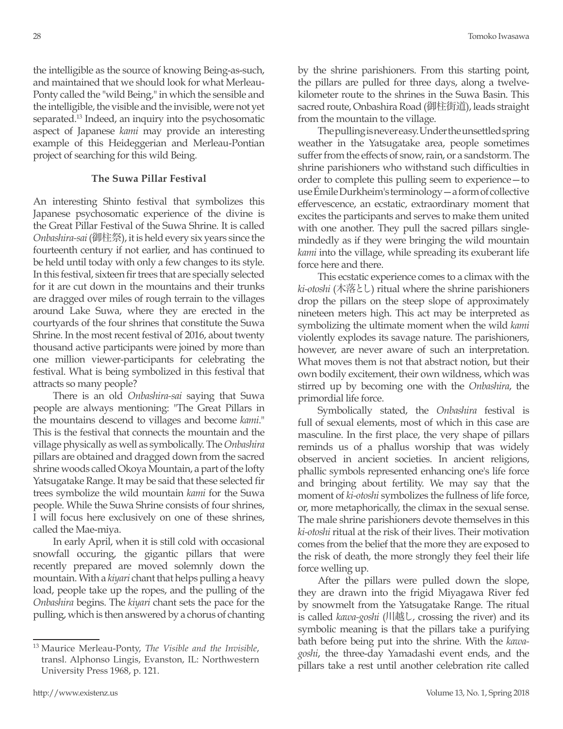the intelligible as the source of knowing Being-as-such, and maintained that we should look for what Merleau-Ponty called the "wild Being," in which the sensible and the intelligible, the visible and the invisible, were not yet separated.13 Indeed, an inquiry into the psychosomatic aspect of Japanese *kami* may provide an interesting example of this Heideggerian and Merleau-Pontian project of searching for this wild Being.

# **The Suwa Pillar Festival**

An interesting Shinto festival that symbolizes this Japanese psychosomatic experience of the divine is the Great Pillar Festival of the Suwa Shrine. It is called *Onbashira-sai* (御柱祭), it is held every six years since the fourteenth century if not earlier, and has continued to be held until today with only a few changes to its style. In this festival, sixteen fir trees that are specially selected for it are cut down in the mountains and their trunks are dragged over miles of rough terrain to the villages around Lake Suwa, where they are erected in the courtyards of the four shrines that constitute the Suwa Shrine. In the most recent festival of 2016, about twenty thousand active participants were joined by more than one million viewer-participants for celebrating the festival. What is being symbolized in this festival that attracts so many people?

There is an old *Onbashira-sai* saying that Suwa people are always mentioning: "The Great Pillars in the mountains descend to villages and become *kami*." This is the festival that connects the mountain and the village physically as well as symbolically. The *Onbashira* pillars are obtained and dragged down from the sacred shrine woods called Okoya Mountain, a part of the lofty Yatsugatake Range. It may be said that these selected fir trees symbolize the wild mountain *kami* for the Suwa people. While the Suwa Shrine consists of four shrines, I will focus here exclusively on one of these shrines, called the Mae-miya.

In early April, when it is still cold with occasional snowfall occuring, the gigantic pillars that were recently prepared are moved solemnly down the mountain. With a *kiyari* chant that helps pulling a heavy load, people take up the ropes, and the pulling of the *Onbashira* begins. The *kiyari* chant sets the pace for the pulling, which is then answered by a chorus of chanting by the shrine parishioners. From this starting point, the pillars are pulled for three days, along a twelvekilometer route to the shrines in the Suwa Basin. This sacred route, Onbashira Road (御柱街道), leads straight from the mountain to the village.

The pulling is never easy. Under the unsettled spring weather in the Yatsugatake area, people sometimes suffer from the effects of snow, rain, or a sandstorm. The shrine parishioners who withstand such difficulties in order to complete this pulling seem to experience—to use Émile Durkheim's terminology—a form of collective effervescence, an ecstatic, extraordinary moment that excites the participants and serves to make them united with one another. They pull the sacred pillars singlemindedly as if they were bringing the wild mountain *kami* into the village, while spreading its exuberant life force here and there.

This ecstatic experience comes to a climax with the *ki-otoshi* (木落とし) ritual where the shrine parishioners drop the pillars on the steep slope of approximately nineteen meters high. This act may be interpreted as symbolizing the ultimate moment when the wild *kami*  violently explodes its savage nature. The parishioners, however, are never aware of such an interpretation. What moves them is not that abstract notion, but their own bodily excitement, their own wildness, which was stirred up by becoming one with the *Onbashira*, the primordial life force.

Symbolically stated, the *Onbashira* festival is full of sexual elements, most of which in this case are masculine. In the first place, the very shape of pillars reminds us of a phallus worship that was widely observed in ancient societies. In ancient religions, phallic symbols represented enhancing one's life force and bringing about fertility. We may say that the moment of *ki-otoshi* symbolizes the fullness of life force, or, more metaphorically, the climax in the sexual sense. The male shrine parishioners devote themselves in this *ki-otoshi* ritual at the risk of their lives. Their motivation comes from the belief that the more they are exposed to the risk of death, the more strongly they feel their life force welling up.

After the pillars were pulled down the slope, they are drawn into the frigid Miyagawa River fed by snowmelt from the Yatsugatake Range. The ritual is called *kawa-goshi* (川越し, crossing the river) and its symbolic meaning is that the pillars take a purifying bath before being put into the shrine. With the *kawagoshi*, the three-day Yamadashi event ends, and the pillars take a rest until another celebration rite called

<sup>13</sup> Maurice Merleau-Ponty, *The Visible and the Invisible*, transl. Alphonso Lingis, Evanston, IL: Northwestern University Press 1968, p. 121.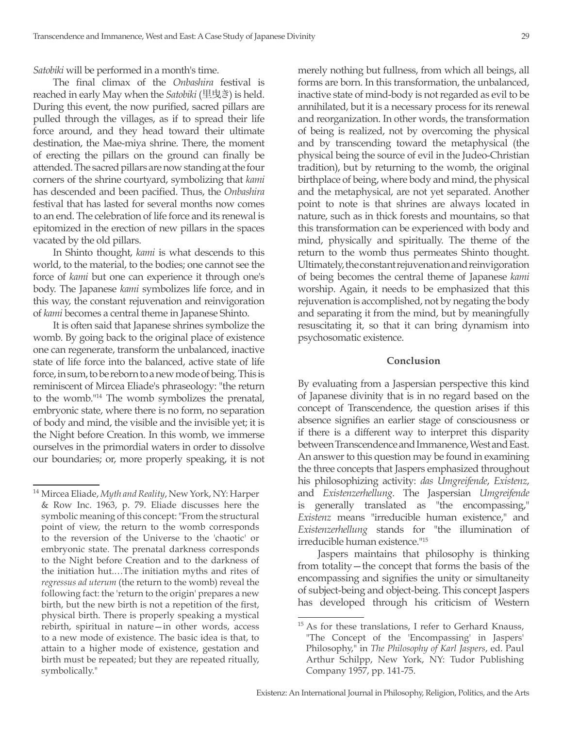*Satobiki* will be performed in a month's time.

The final climax of the *Onbashira* festival is reached in early May when the *Satobiki* (里曳き) is held. During this event, the now purified, sacred pillars are pulled through the villages, as if to spread their life force around, and they head toward their ultimate destination, the Mae-miya shrine. There, the moment of erecting the pillars on the ground can finally be attended. The sacred pillars are now standing at the four corners of the shrine courtyard, symbolizing that *kami*  has descended and been pacified. Thus, the *Onbashira*  festival that has lasted for several months now comes to an end. The celebration of life force and its renewal is epitomized in the erection of new pillars in the spaces vacated by the old pillars.

In Shinto thought, *kami* is what descends to this world, to the material, to the bodies; one cannot see the force of *kami* but one can experience it through one's body. The Japanese *kami* symbolizes life force, and in this way, the constant rejuvenation and reinvigoration of *kami* becomes a central theme in Japanese Shinto.

It is often said that Japanese shrines symbolize the womb. By going back to the original place of existence one can regenerate, transform the unbalanced, inactive state of life force into the balanced, active state of life force, in sum, to be reborn to a new mode of being. This is reminiscent of Mircea Eliade's phraseology: "the return to the womb."14 The womb symbolizes the prenatal, embryonic state, where there is no form, no separation of body and mind, the visible and the invisible yet; it is the Night before Creation. In this womb, we immerse ourselves in the primordial waters in order to dissolve our boundaries; or, more properly speaking, it is not merely nothing but fullness, from which all beings, all forms are born. In this transformation, the unbalanced, inactive state of mind-body is not regarded as evil to be annihilated, but it is a necessary process for its renewal and reorganization. In other words, the transformation of being is realized, not by overcoming the physical and by transcending toward the metaphysical (the physical being the source of evil in the Judeo-Christian tradition), but by returning to the womb, the original birthplace of being, where body and mind, the physical and the metaphysical, are not yet separated. Another point to note is that shrines are always located in nature, such as in thick forests and mountains, so that this transformation can be experienced with body and mind, physically and spiritually. The theme of the return to the womb thus permeates Shinto thought. Ultimately, the constant rejuvenation and reinvigoration of being becomes the central theme of Japanese *kami*  worship. Again, it needs to be emphasized that this rejuvenation is accomplished, not by negating the body and separating it from the mind, but by meaningfully resuscitating it, so that it can bring dynamism into psychosomatic existence.

#### **Conclusion**

By evaluating from a Jaspersian perspective this kind of Japanese divinity that is in no regard based on the concept of Transcendence, the question arises if this absence signifies an earlier stage of consciousness or if there is a different way to interpret this disparity between Transcendence and Immanence, West and East. An answer to this question may be found in examining the three concepts that Jaspers emphasized throughout his philosophizing activity: *das Umgreifende*, *Existenz*, and *Existenzerhellung*. The Jaspersian *Umgreifende* is generally translated as "the encompassing," *Existenz* means "irreducible human existence," and *Existenzerhellung* stands for "the illumination of irreducible human existence."15

Jaspers maintains that philosophy is thinking from totality—the concept that forms the basis of the encompassing and signifies the unity or simultaneity of subject-being and object-being. This concept Jaspers has developed through his criticism of Western

<sup>14</sup> Mircea Eliade, *Myth and Reality*, New York, NY: Harper & Row Inc. 1963, p. 79. Eliade discusses here the symbolic meaning of this concept: "From the structural point of view, the return to the womb corresponds to the reversion of the Universe to the 'chaotic' or embryonic state. The prenatal darkness corresponds to the Night before Creation and to the darkness of the initiation hut.…The initiation myths and rites of *regressus ad uterum* (the return to the womb) reveal the following fact: the 'return to the origin' prepares a new birth, but the new birth is not a repetition of the first, physical birth. There is properly speaking a mystical rebirth, spiritual in nature—in other words, access to a new mode of existence. The basic idea is that, to attain to a higher mode of existence, gestation and birth must be repeated; but they are repeated ritually, symbolically."

<sup>&</sup>lt;sup>15</sup> As for these translations, I refer to Gerhard Knauss, "The Concept of the 'Encompassing' in Jaspers' Philosophy," in *The Philosophy of Karl Jaspers*, ed. Paul Arthur Schilpp, New York, NY: Tudor Publishing Company 1957, pp. 141-75.